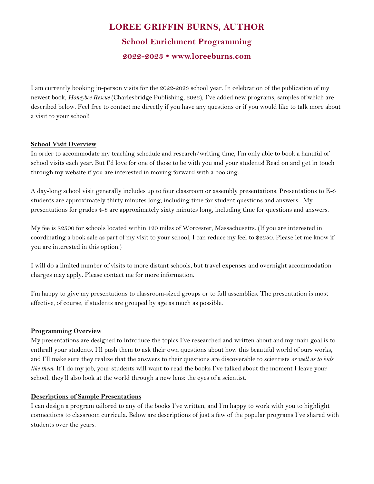# **LOREE GRIFFIN BURNS, AUTHOR School Enrichment Programming 2022-2023 • www.loreeburns.com**

I am currently booking in-person visits for the 2022-2023 school year. In celebration of the publication of my newest book, *Honeybee Rescue* (Charlesbridge Publishing, 2022), I've added new programs, samples of which are described below. Feel free to contact me directly if you have any questions or if you would like to talk more about a visit to your school!

## **School Visit Overview**

In order to accommodate my teaching schedule and research/writing time, I'm only able to book a handful of school visits each year. But I'd love for one of those to be with you and your students! Read on and get in touch through my website if you are interested in moving forward with a booking.

A day-long school visit generally includes up to four classroom or assembly presentations. Presentations to K-3 students are approximately thirty minutes long, including time for student questions and answers. My presentations for grades 4-8 are approximately sixty minutes long, including time for questions and answers.

My fee is \$2500 for schools located within 120 miles of Worcester, Massachusetts. (If you are interested in coordinating a book sale as part of my visit to your school, I can reduce my feel to \$2250. Please let me know if you are interested in this option.)

I will do a limited number of visits to more distant schools, but travel expenses and overnight accommodation charges may apply. Please contact me for more information.

I'm happy to give my presentations to classroom-sized groups or to full assemblies. The presentation is most effective, of course, if students are grouped by age as much as possible.

# **Programming Overview**

My presentations are designed to introduce the topics I've researched and written about and my main goal is to enthrall your students. I'll push them to ask their own questions about how this beautiful world of ours works, and I'll make sure they realize that the answers to their questions are discoverable to scientists *as well as to kids like them*. If I do my job, your students will want to read the books I've talked about the moment I leave your school; they'll also look at the world through a new lens: the eyes of a scientist.

# **Descriptions of Sample Presentations**

I can design a program tailored to any of the books I've written, and I'm happy to work with you to highlight connections to classroom curricula. Below are descriptions of just a few of the popular programs I've shared with students over the years.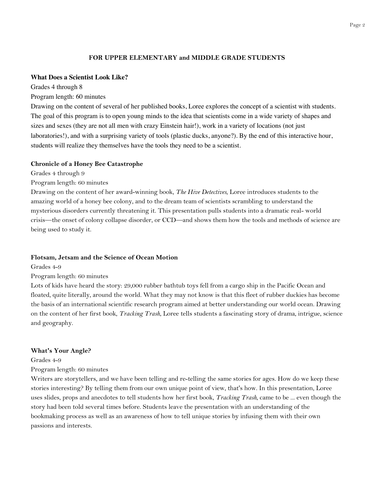## **FOR UPPER ELEMENTARY and MIDDLE GRADE STUDENTS**

#### **What Does a Scientist Look Like?**

Grades 4 through 8

Program length: 60 minutes

Drawing on the content of several of her published books, Loree explores the concept of a scientist with students. The goal of this program is to open young minds to the idea that scientists come in a wide variety of shapes and sizes and sexes (they are not all men with crazy Einstein hair!), work in a variety of locations (not just laboratories!), and with a surprising variety of tools (plastic ducks, anyone?). By the end of this interactive hour, students will realize they themselves have the tools they need to be a scientist.

#### **Chronicle of a Honey Bee Catastrophe**

Grades 4 through 9

Program length: 60 minutes

Drawing on the content of her award-winning book, *The Hive Detectives*, Loree introduces students to the amazing world of a honey bee colony, and to the dream team of scientists scrambling to understand the mysterious disorders currently threatening it. This presentation pulls students into a dramatic real- world crisis—the onset of colony collapse disorder, or CCD—and shows them how the tools and methods of science are being used to study it.

#### **Flotsam, Jetsam and the Science of Ocean Motion**

Grades 4-9

Program length: 60 minutes

Lots of kids have heard the story: 29,000 rubber bathtub toys fell from a cargo ship in the Pacific Ocean and floated, quite literally, around the world. What they may not know is that this fleet of rubber duckies has become the basis of an international scientific research program aimed at better understanding our world ocean. Drawing on the content of her first book, *Tracking Trash*, Loree tells students a fascinating story of drama, intrigue, science and geography.

#### **What's Your Angle?**

Grades 4-9

## Program length: 60 minutes

Writers are storytellers, and we have been telling and re-telling the same stories for ages. How do we keep these stories interesting? By telling them from our own unique point of view, that's how. In this presentation, Loree uses slides, props and anecdotes to tell students how her first book, *Tracking Trash*, came to be ... even though the story had been told several times before. Students leave the presentation with an understanding of the bookmaking process as well as an awareness of how to tell unique stories by infusing them with their own passions and interests.